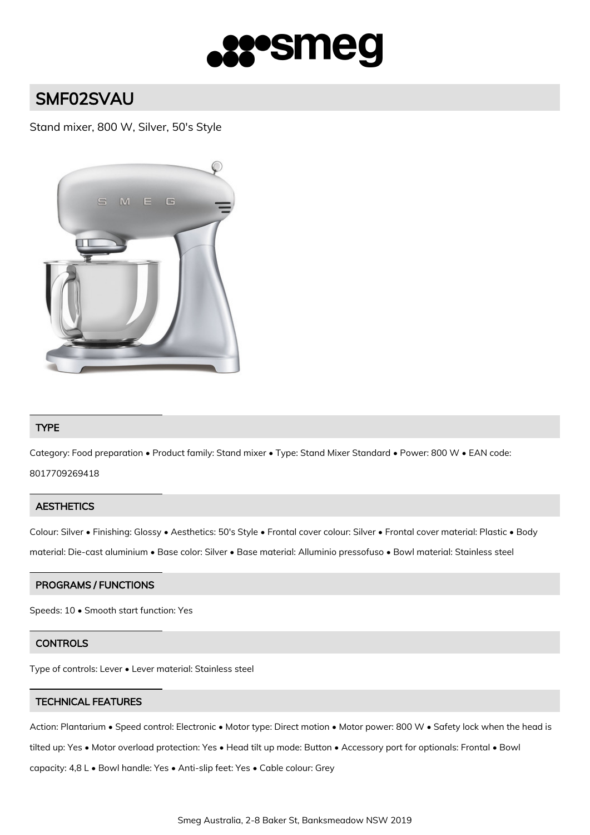

# SMF02SVAU

# Stand mixer, 800 W, Silver, 50's Style



## TYPE

Category: Food preparation • Product family: Stand mixer • Type: Stand Mixer Standard • Power: 800 W • EAN code: 8017709269418

#### **AESTHETICS**

Colour: Silver • Finishing: Glossy • Aesthetics: 50's Style • Frontal cover colour: Silver • Frontal cover material: Plastic • Body material: Die-cast aluminium • Base color: Silver • Base material: Alluminio pressofuso • Bowl material: Stainless steel

## PROGRAMS / FUNCTIONS

Speeds: 10 • Smooth start function: Yes

#### **CONTROLS**

Type of controls: Lever • Lever material: Stainless steel

#### TECHNICAL FEATURES

Action: Plantarium • Speed control: Electronic • Motor type: Direct motion • Motor power: 800 W • Safety lock when the head is tilted up: Yes • Motor overload protection: Yes • Head tilt up mode: Button • Accessory port for optionals: Frontal • Bowl capacity: 4,8 L • Bowl handle: Yes • Anti-slip feet: Yes • Cable colour: Grey